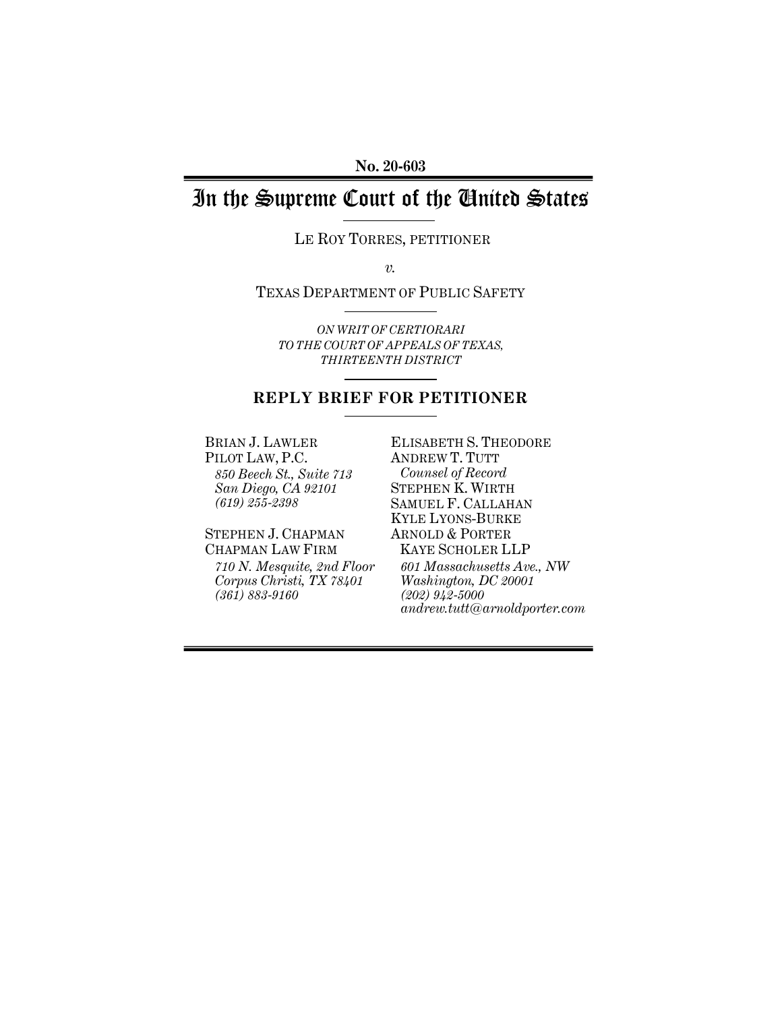# In the Supreme Court of the United States

LE ROY TORRES, PETITIONER

*v.* 

TEXAS DEPARTMENT OF PUBLIC SAFETY

*ON WRIT OF CERTIORARI TO THE COURT OF APPEALS OF TEXAS, THIRTEENTH DISTRICT*

### **REPLY BRIEF FOR PETITIONER**

BRIAN J. LAWLER PILOT LAW, P.C. *850 Beech St., Suite 713 San Diego, CA 92101 (619) 255-2398* 

STEPHEN J. CHAPMAN CHAPMAN LAW FIRM *710 N. Mesquite, 2nd Floor Corpus Christi, TX 78401 (361) 883-9160* 

ELISABETH S. THEODORE ANDREW T. TUTT *Counsel of Record*  STEPHEN K. WIRTH SAMUEL F. CALLAHAN KYLE LYONS-BURKE ARNOLD & PORTER KAYE SCHOLER LLP *601 Massachusetts Ave., NW Washington, DC 20001 (202) 942-5000 andrew.tutt@arnoldporter.com*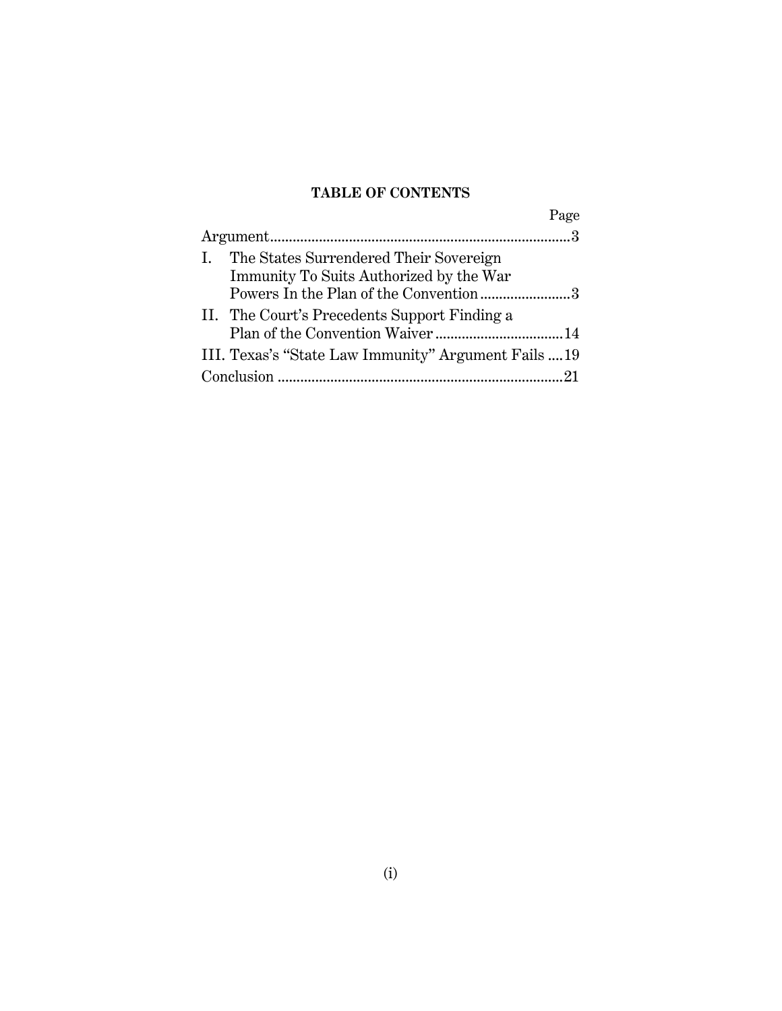# **TABLE OF CONTENTS**

|                                                      | Page |
|------------------------------------------------------|------|
|                                                      |      |
| The States Surrendered Their Sovereign               |      |
| Immunity To Suits Authorized by the War              |      |
| Powers In the Plan of the Convention 3               |      |
| II. The Court's Precedents Support Finding a         |      |
|                                                      |      |
| III. Texas's "State Law Immunity" Argument Fails  19 |      |
|                                                      |      |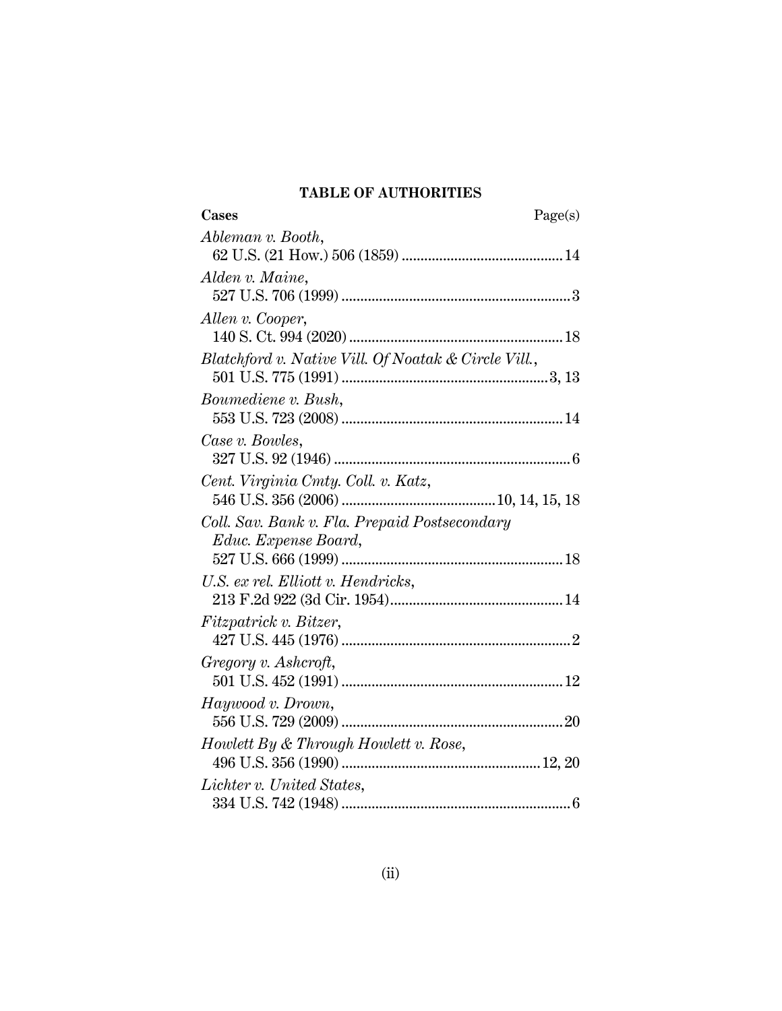# **TABLE OF AUTHORITIES**

| Ableman v. Booth,<br>Alden v. Maine,                 |
|------------------------------------------------------|
|                                                      |
|                                                      |
|                                                      |
|                                                      |
| Allen v. Cooper,                                     |
|                                                      |
| Blatchford v. Native Vill. Of Noatak & Circle Vill., |
|                                                      |
| Boumediene v. Bush,                                  |
|                                                      |
| Case v. Bowles,                                      |
|                                                      |
| Cent. Virginia Cmty. Coll. v. Katz,                  |
|                                                      |
| Coll. Sav. Bank v. Fla. Prepaid Postsecondary        |
| Educ. Expense Board,                                 |
|                                                      |
| U.S. ex rel. Elliott v. Hendricks,                   |
| Fitzpatrick v. Bitzer,                               |
|                                                      |
| Gregory v. Ashcroft,                                 |
|                                                      |
| Haywood v. Drown,                                    |
|                                                      |
| Howlett By & Through Howlett v. Rose,                |
|                                                      |
| Lichter v. United States,                            |
|                                                      |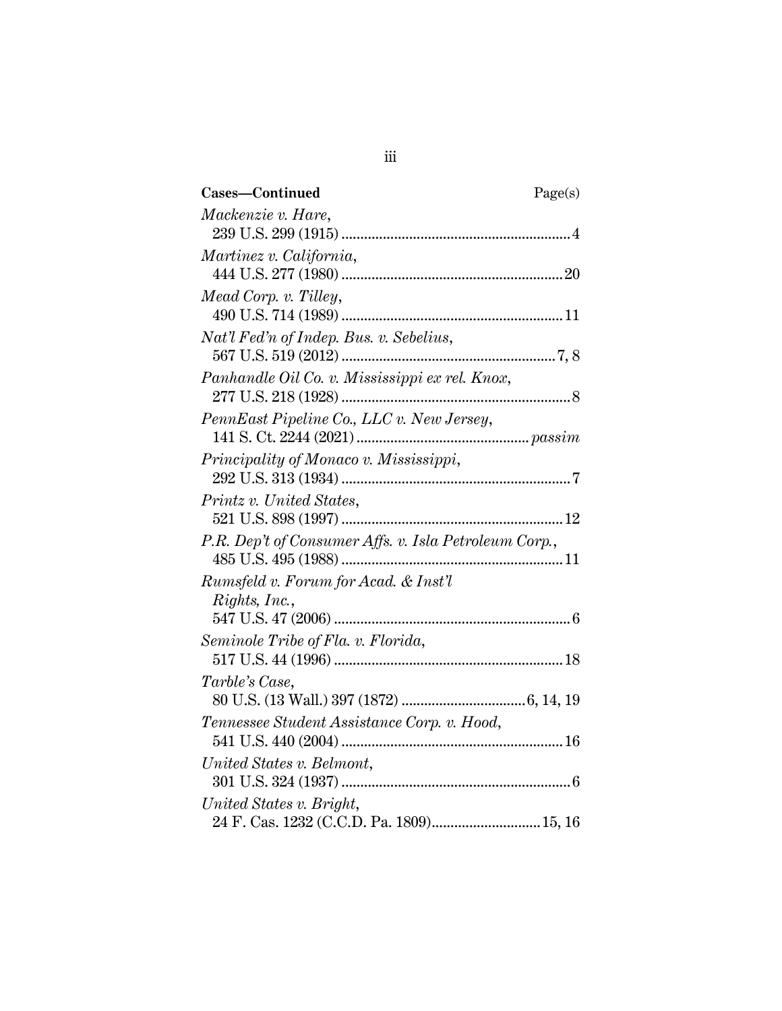| Cases-Continued                                       | Page(s) |
|-------------------------------------------------------|---------|
| Mackenzie v. Hare,                                    |         |
|                                                       |         |
| Martinez v. California,                               |         |
|                                                       |         |
| Mead Corp. v. Tilley,                                 |         |
|                                                       |         |
| Nat'l Fed'n of Indep. Bus. v. Sebelius,               |         |
|                                                       |         |
| Panhandle Oil Co. v. Mississippi ex rel. Knox,        |         |
|                                                       |         |
| PennEast Pipeline Co., LLC v. New Jersey,             |         |
|                                                       |         |
| Principality of Monaco v. Mississippi,                |         |
|                                                       |         |
| Printz v. United States,                              |         |
|                                                       |         |
| P.R. Dep't of Consumer Affs. v. Isla Petroleum Corp., |         |
|                                                       |         |
| Rumsfeld v. Forum for Acad. & Inst'l                  |         |
| Rights, Inc.,                                         |         |
|                                                       |         |
| Seminole Tribe of Fla. v. Florida,                    |         |
|                                                       |         |
| Tarble's Case,                                        |         |
|                                                       |         |
| Tennessee Student Assistance Corp. v. Hood,           |         |
| United States v. Belmont,                             |         |
|                                                       |         |
| United States v. Bright,                              |         |
| 24 F. Cas. 1232 (C.C.D. Pa. 1809) 15, 16              |         |
|                                                       |         |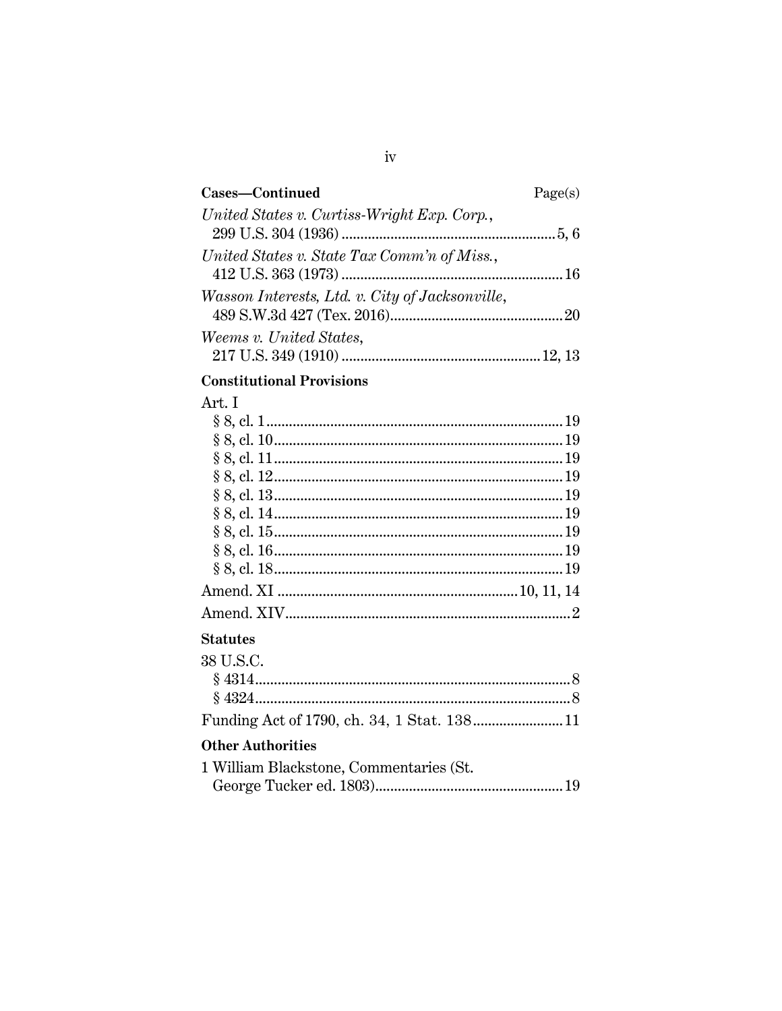| Cases-Continued                                 | Page(s) |
|-------------------------------------------------|---------|
| United States v. Curtiss-Wright Exp. Corp.,     |         |
| United States v. State Tax Comm'n of Miss.,     |         |
|                                                 |         |
| Wasson Interests, Ltd. v. City of Jacksonville, |         |
| <i>Weems v. United States,</i>                  |         |
|                                                 |         |

## **Constitutional Provisions**

## Art. I

### **Statutes**

| 38 U.S.C. |  |
|-----------|--|
|           |  |
|           |  |
|           |  |

# **Other Authorities**

| 1 William Blackstone, Commentaries (St. |  |
|-----------------------------------------|--|
|                                         |  |

## $\mathrm{iv}$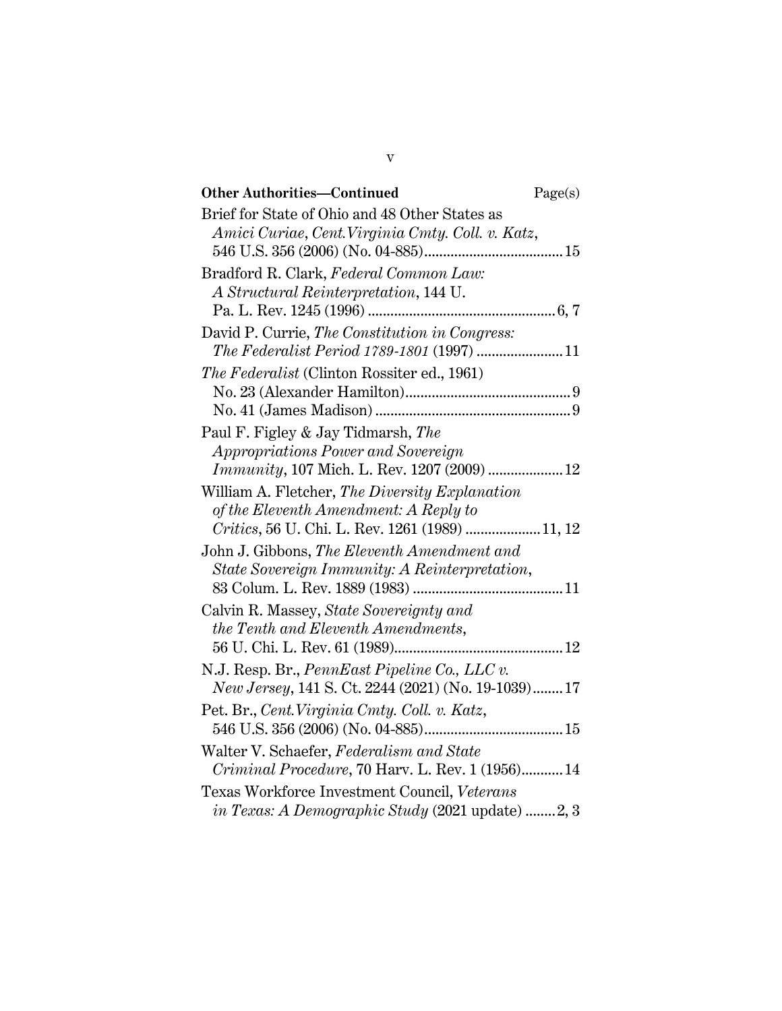| <b>Other Authorities-Continued</b>                                                                                                         | Page(s) |
|--------------------------------------------------------------------------------------------------------------------------------------------|---------|
| Brief for State of Ohio and 48 Other States as<br>Amici Curiae, Cent. Virginia Cmty. Coll. v. Katz,                                        |         |
| Bradford R. Clark, Federal Common Law:<br>A Structural Reinterpretation, 144 U.                                                            |         |
| David P. Currie, The Constitution in Congress:<br>The Federalist Period 1789-1801 (1997)  11                                               |         |
| <i>The Federalist</i> (Clinton Rossiter ed., 1961)                                                                                         |         |
| Paul F. Figley & Jay Tidmarsh, The<br>Appropriations Power and Sovereign<br><i>Immunity</i> , 107 Mich. L. Rev. 1207 (2009)  12            |         |
| William A. Fletcher, The Diversity Explanation<br>of the Eleventh Amendment: A Reply to<br>Critics, 56 U. Chi. L. Rev. 1261 (1989)  11, 12 |         |
| John J. Gibbons, The Eleventh Amendment and<br>State Sovereign Immunity: A Reinterpretation,                                               |         |
| Calvin R. Massey, State Sovereignty and<br>the Tenth and Eleventh Amendments,                                                              |         |
| N.J. Resp. Br., PennEast Pipeline Co., LLC $v$ .<br><i>New Jersey</i> , 141 S. Ct. 2244 (2021) (No. 19-1039) 17                            |         |
| Pet. Br., Cent. Virginia Cmty. Coll. v. Katz,                                                                                              |         |
| Walter V. Schaefer, Federalism and State<br><i>Criminal Procedure, 70 Harv. L. Rev. 1 (1956) 14</i>                                        |         |
| Texas Workforce Investment Council, Veterans<br><i>in Texas: A Demographic Study</i> (2021 update) 2, 3                                    |         |

v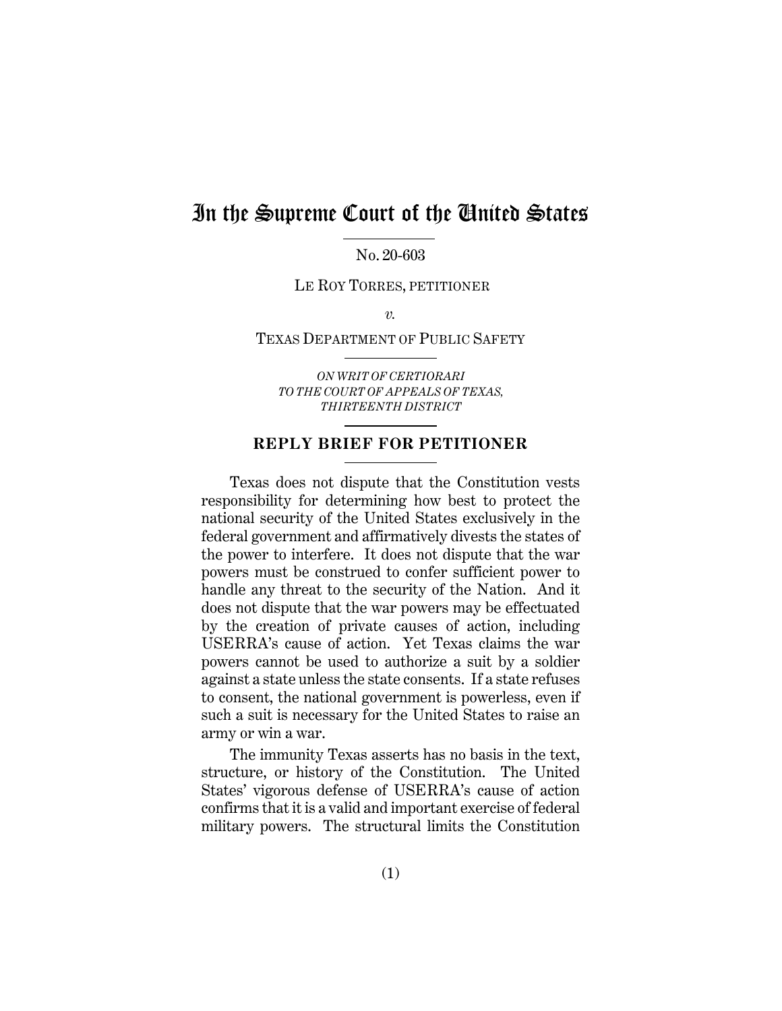# In the Supreme Court of the United States

No. 20-603

LE ROY TORRES, PETITIONER

 $\overline{\nu}$ .

#### TEXAS DEPARTMENT OF PUBLIC SAFETY

*ON WRIT OF CERTIORARI TO THE COURT OF APPEALS OF TEXAS, THIRTEENTH DISTRICT*

### **REPLY BRIEF FOR PETITIONER**

Texas does not dispute that the Constitution vests responsibility for determining how best to protect the national security of the United States exclusively in the federal government and affirmatively divests the states of the power to interfere. It does not dispute that the war powers must be construed to confer sufficient power to handle any threat to the security of the Nation. And it does not dispute that the war powers may be effectuated by the creation of private causes of action, including USERRA's cause of action. Yet Texas claims the war powers cannot be used to authorize a suit by a soldier against a state unless the state consents. If a state refuses to consent, the national government is powerless, even if such a suit is necessary for the United States to raise an army or win a war.

The immunity Texas asserts has no basis in the text, structure, or history of the Constitution. The United States' vigorous defense of USERRA's cause of action confirms that it is a valid and important exercise of federal military powers. The structural limits the Constitution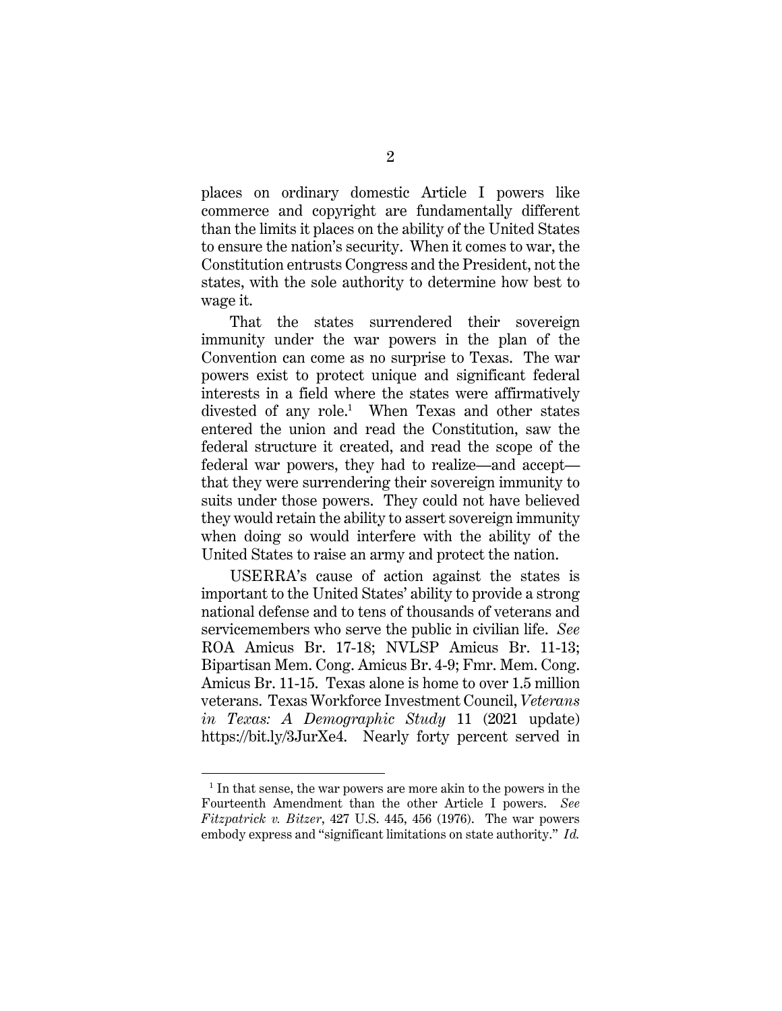places on ordinary domestic Article I powers like commerce and copyright are fundamentally different than the limits it places on the ability of the United States to ensure the nation's security. When it comes to war, the Constitution entrusts Congress and the President, not the states, with the sole authority to determine how best to wage it.

That the states surrendered their sovereign immunity under the war powers in the plan of the Convention can come as no surprise to Texas. The war powers exist to protect unique and significant federal interests in a field where the states were affirmatively divested of any role.<sup>1</sup> When Texas and other states entered the union and read the Constitution, saw the federal structure it created, and read the scope of the federal war powers, they had to realize—and accept that they were surrendering their sovereign immunity to suits under those powers. They could not have believed they would retain the ability to assert sovereign immunity when doing so would interfere with the ability of the United States to raise an army and protect the nation.

USERRA's cause of action against the states is important to the United States' ability to provide a strong national defense and to tens of thousands of veterans and servicemembers who serve the public in civilian life. *See* ROA Amicus Br. 17-18; NVLSP Amicus Br. 11-13; Bipartisan Mem. Cong. Amicus Br. 4-9; Fmr. Mem. Cong. Amicus Br. 11-15. Texas alone is home to over 1.5 million veterans. Texas Workforce Investment Council, *Veterans in Texas: A Demographic Study* 11 (2021 update) https://bit.ly/3JurXe4. Nearly forty percent served in

<sup>1</sup> In that sense, the war powers are more akin to the powers in the Fourteenth Amendment than the other Article I powers. *See Fitzpatrick v. Bitzer*, 427 U.S. 445, 456 (1976). The war powers embody express and "significant limitations on state authority." *Id.*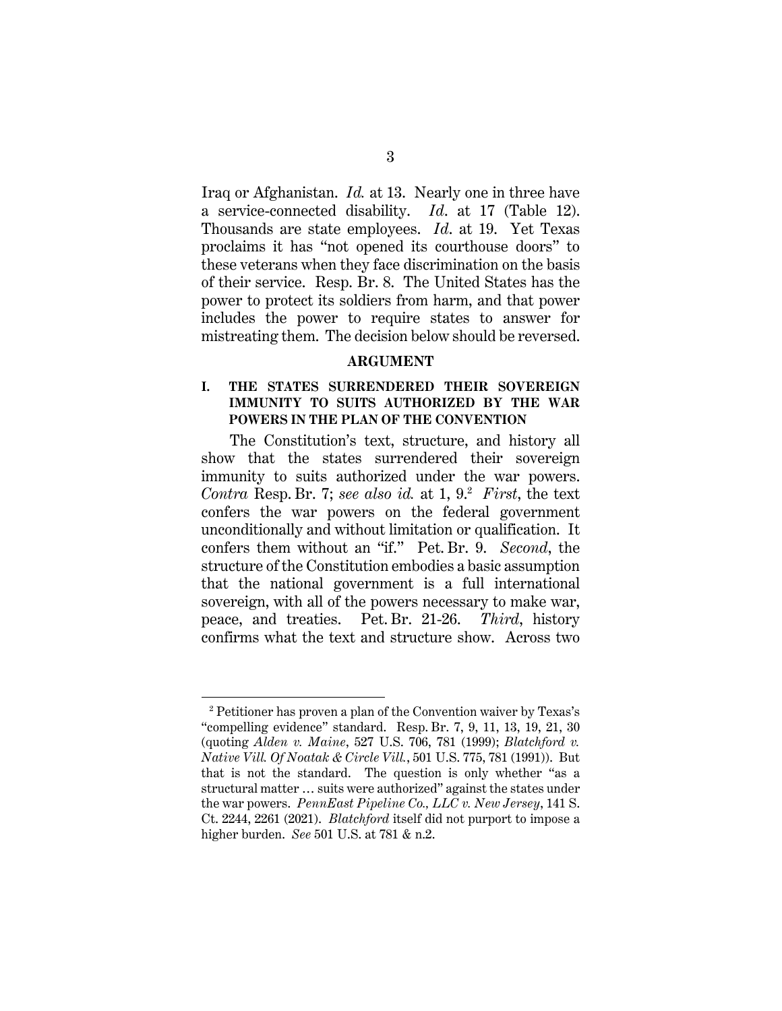Iraq or Afghanistan. *Id.* at 13. Nearly one in three have a service-connected disability. *Id*. at 17 (Table 12). Thousands are state employees. *Id*. at 19. Yet Texas proclaims it has "not opened its courthouse doors" to these veterans when they face discrimination on the basis of their service. Resp. Br. 8. The United States has the power to protect its soldiers from harm, and that power includes the power to require states to answer for mistreating them. The decision below should be reversed.

#### **ARGUMENT**

### **I. THE STATES SURRENDERED THEIR SOVEREIGN IMMUNITY TO SUITS AUTHORIZED BY THE WAR POWERS IN THE PLAN OF THE CONVENTION**

The Constitution's text, structure, and history all show that the states surrendered their sovereign immunity to suits authorized under the war powers. *Contra* Resp. Br. 7; *see also id.* at 1, 9.2 *First*, the text confers the war powers on the federal government unconditionally and without limitation or qualification. It confers them without an "if." Pet. Br. 9. *Second*, the structure of the Constitution embodies a basic assumption that the national government is a full international sovereign, with all of the powers necessary to make war, peace, and treaties. Pet. Br. 21-26. *Third*, history confirms what the text and structure show. Across two

<sup>2</sup> Petitioner has proven a plan of the Convention waiver by Texas's "compelling evidence" standard. Resp. Br. 7, 9, 11, 13, 19, 21, 30 (quoting *Alden v. Maine*, 527 U.S. 706, 781 (1999); *Blatchford v. Native Vill. Of Noatak & Circle Vill.*, 501 U.S. 775, 781 (1991)). But that is not the standard. The question is only whether "as a structural matter … suits were authorized" against the states under the war powers. *PennEast Pipeline Co., LLC v. New Jersey*, 141 S. Ct. 2244, 2261 (2021). *Blatchford* itself did not purport to impose a higher burden. *See* 501 U.S. at 781 & n.2.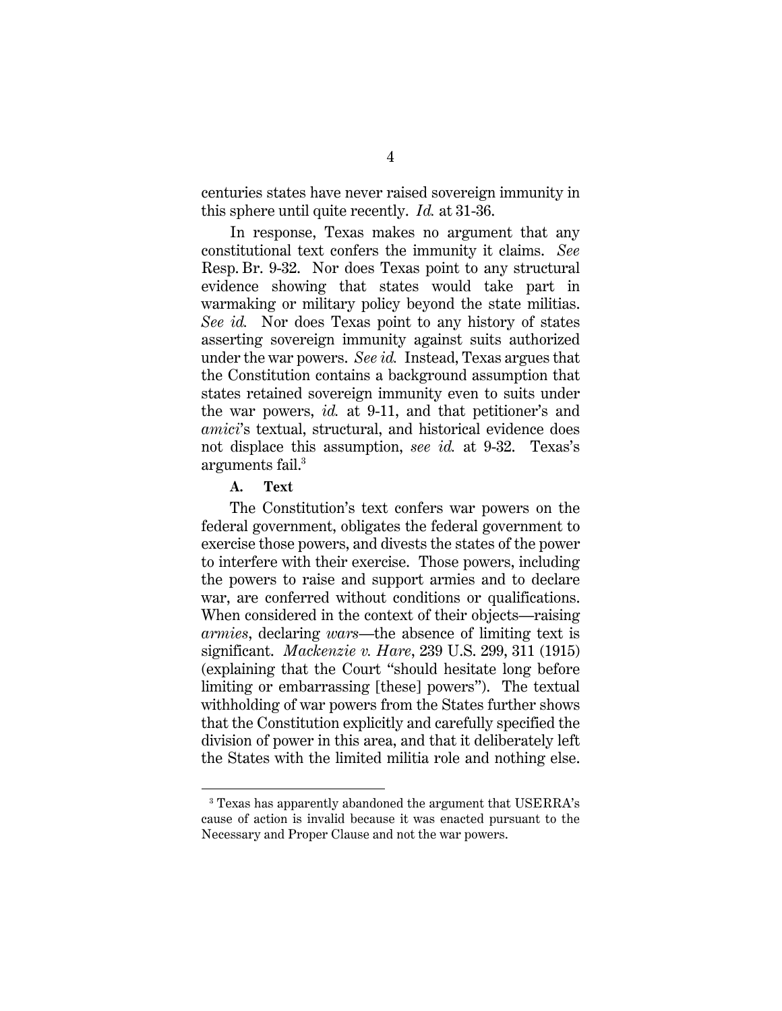centuries states have never raised sovereign immunity in this sphere until quite recently. *Id.* at 31-36.

In response, Texas makes no argument that any constitutional text confers the immunity it claims. *See*  Resp. Br. 9-32. Nor does Texas point to any structural evidence showing that states would take part in warmaking or military policy beyond the state militias. *See id.* Nor does Texas point to any history of states asserting sovereign immunity against suits authorized under the war powers. *See id.* Instead, Texas argues that the Constitution contains a background assumption that states retained sovereign immunity even to suits under the war powers, *id.* at 9-11, and that petitioner's and *amici*'s textual, structural, and historical evidence does not displace this assumption, *see id.* at 9-32. Texas's arguments fail.<sup>3</sup>

#### **A. Text**

The Constitution's text confers war powers on the federal government, obligates the federal government to exercise those powers, and divests the states of the power to interfere with their exercise. Those powers, including the powers to raise and support armies and to declare war, are conferred without conditions or qualifications. When considered in the context of their objects—raising *armies*, declaring *wars*—the absence of limiting text is significant. *Mackenzie v. Hare*, 239 U.S. 299, 311 (1915) (explaining that the Court "should hesitate long before limiting or embarrassing [these] powers"). The textual withholding of war powers from the States further shows that the Constitution explicitly and carefully specified the division of power in this area, and that it deliberately left the States with the limited militia role and nothing else.

<sup>3</sup> Texas has apparently abandoned the argument that USERRA's cause of action is invalid because it was enacted pursuant to the Necessary and Proper Clause and not the war powers.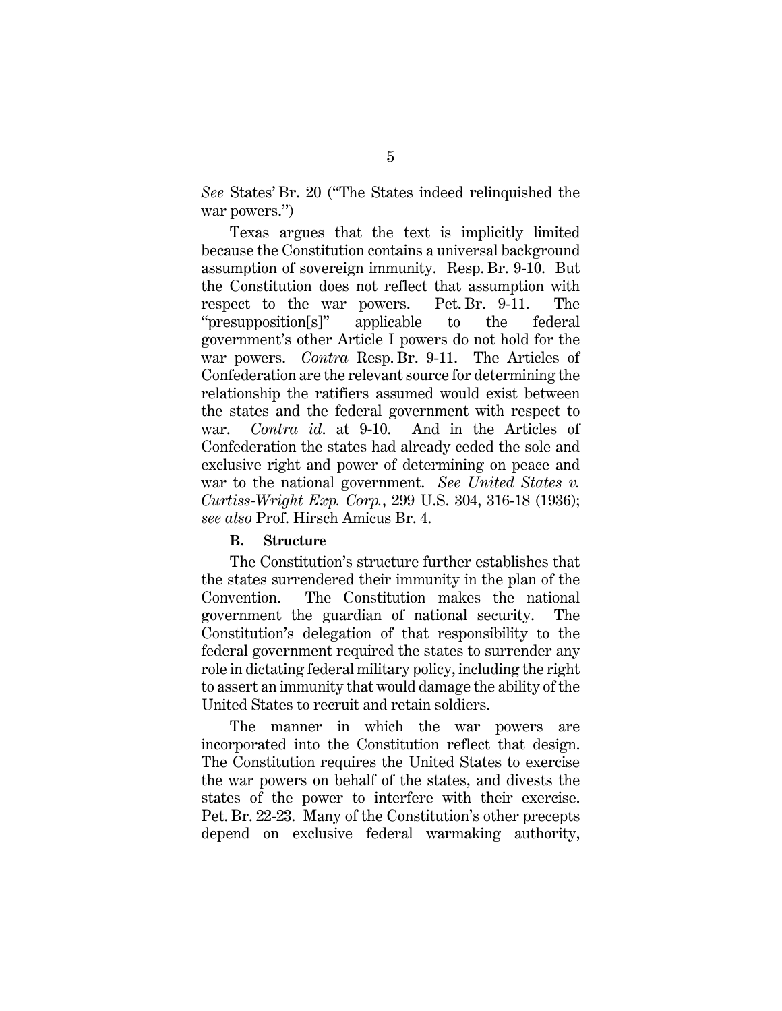*See* States' Br. 20 ("The States indeed relinquished the war powers.")

Texas argues that the text is implicitly limited because the Constitution contains a universal background assumption of sovereign immunity. Resp. Br. 9-10. But the Constitution does not reflect that assumption with respect to the war powers. Pet. Br. 9-11. The "presupposition[s]" applicable to the federal government's other Article I powers do not hold for the war powers. *Contra* Resp. Br. 9-11. The Articles of Confederation are the relevant source for determining the relationship the ratifiers assumed would exist between the states and the federal government with respect to war. *Contra id*. at 9-10. And in the Articles of Confederation the states had already ceded the sole and exclusive right and power of determining on peace and war to the national government. *See United States v. Curtiss-Wright Exp. Corp.*, 299 U.S. 304, 316-18 (1936); *see also* Prof. Hirsch Amicus Br. 4.

#### **B. Structure**

The Constitution's structure further establishes that the states surrendered their immunity in the plan of the Convention. The Constitution makes the national government the guardian of national security. The Constitution's delegation of that responsibility to the federal government required the states to surrender any role in dictating federal military policy, including the right to assert an immunity that would damage the ability of the United States to recruit and retain soldiers.

The manner in which the war powers are incorporated into the Constitution reflect that design. The Constitution requires the United States to exercise the war powers on behalf of the states, and divests the states of the power to interfere with their exercise. Pet. Br. 22-23. Many of the Constitution's other precepts depend on exclusive federal warmaking authority,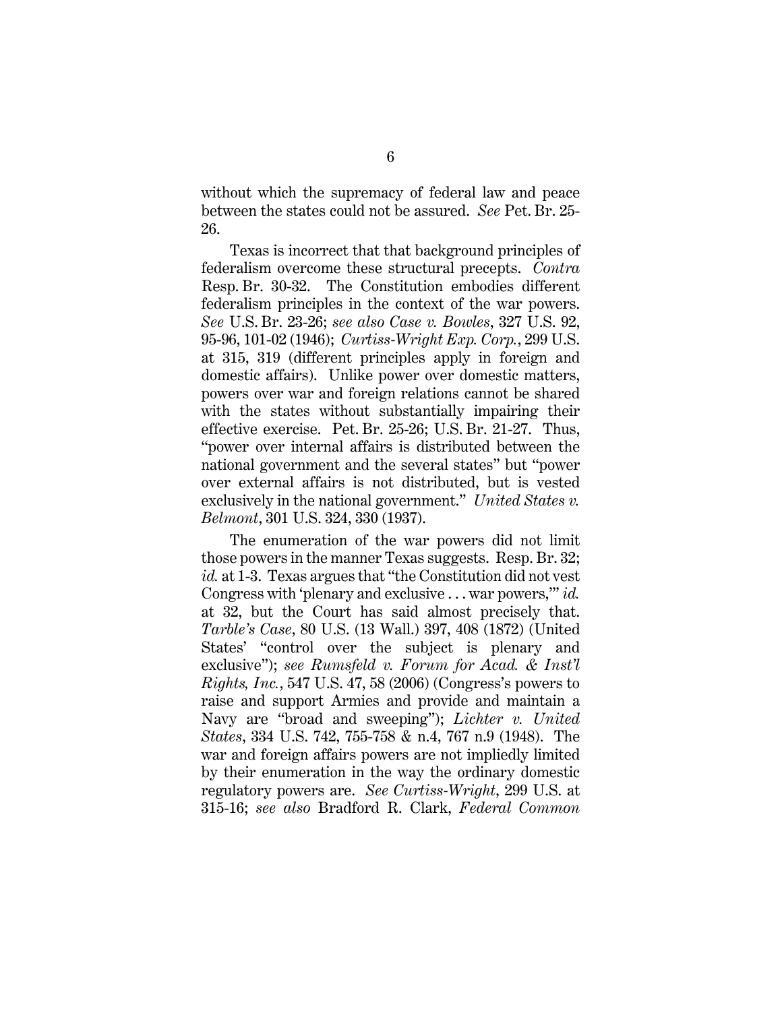without which the supremacy of federal law and peace between the states could not be assured. *See* Pet. Br. 25- 26.

Texas is incorrect that that background principles of federalism overcome these structural precepts. *Contra* Resp. Br. 30-32. The Constitution embodies different federalism principles in the context of the war powers. *See* U.S. Br. 23-26; *see also Case v. Bowles*, 327 U.S. 92, 95-96, 101-02 (1946); *Curtiss-Wright Exp. Corp.*, 299 U.S. at 315, 319 (different principles apply in foreign and domestic affairs). Unlike power over domestic matters, powers over war and foreign relations cannot be shared with the states without substantially impairing their effective exercise. Pet. Br. 25-26; U.S. Br. 21-27. Thus, "power over internal affairs is distributed between the national government and the several states" but "power over external affairs is not distributed, but is vested exclusively in the national government." *United States v. Belmont*, 301 U.S. 324, 330 (1937).

The enumeration of the war powers did not limit those powers in the manner Texas suggests. Resp. Br. 32; *id.* at 1-3. Texas argues that "the Constitution did not vest Congress with 'plenary and exclusive . . . war powers,'" *id.* at 32, but the Court has said almost precisely that. *Tarble's Case*, 80 U.S. (13 Wall.) 397, 408 (1872) (United States' "control over the subject is plenary and exclusive"); *see Rumsfeld v. Forum for Acad. & Inst'l Rights, Inc.*, 547 U.S. 47, 58 (2006) (Congress's powers to raise and support Armies and provide and maintain a Navy are "broad and sweeping"); *Lichter v. United States*, 334 U.S. 742, 755-758 & n.4, 767 n.9 (1948). The war and foreign affairs powers are not impliedly limited by their enumeration in the way the ordinary domestic regulatory powers are. *See Curtiss-Wright*, 299 U.S. at 315-16; *see also* Bradford R. Clark, *Federal Common*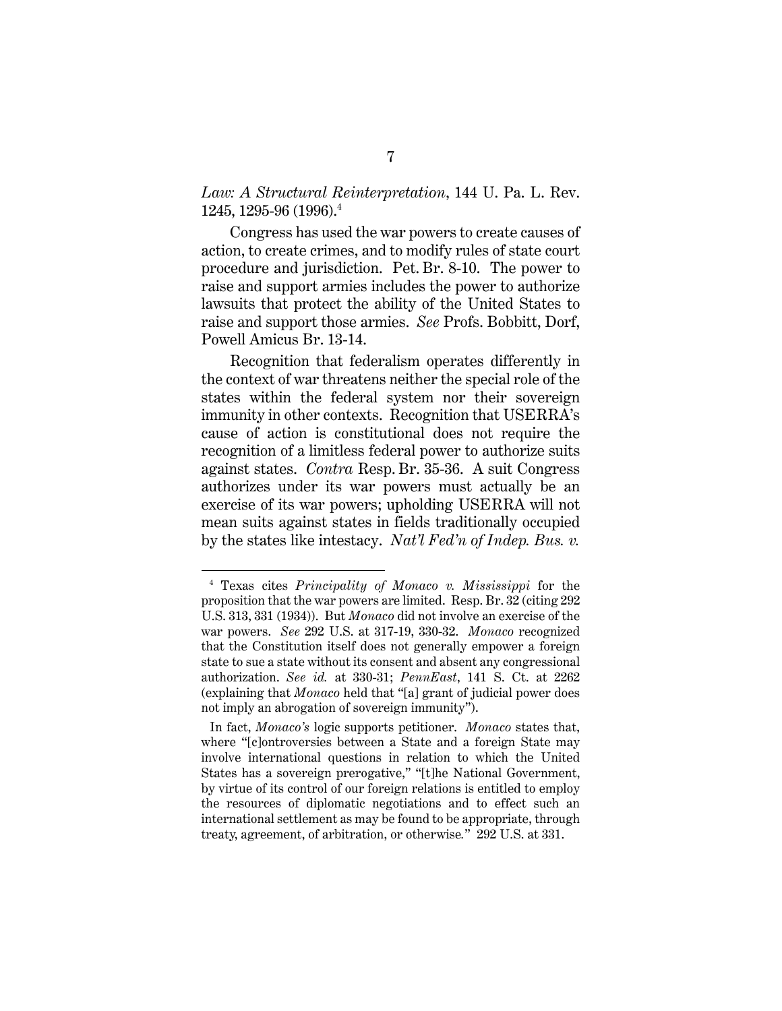### *Law: A Structural Reinterpretation*, 144 U. Pa. L. Rev. 1245, 1295-96 (1996).4

Congress has used the war powers to create causes of action, to create crimes, and to modify rules of state court procedure and jurisdiction. Pet. Br. 8-10. The power to raise and support armies includes the power to authorize lawsuits that protect the ability of the United States to raise and support those armies. *See* Profs. Bobbitt, Dorf, Powell Amicus Br. 13-14.

Recognition that federalism operates differently in the context of war threatens neither the special role of the states within the federal system nor their sovereign immunity in other contexts. Recognition that USERRA's cause of action is constitutional does not require the recognition of a limitless federal power to authorize suits against states. *Contra* Resp. Br. 35-36. A suit Congress authorizes under its war powers must actually be an exercise of its war powers; upholding USERRA will not mean suits against states in fields traditionally occupied by the states like intestacy. *Nat'l Fed'n of Indep. Bus. v.* 

<sup>4</sup> Texas cites *Principality of Monaco v. Mississippi* for the proposition that the war powers are limited. Resp. Br. 32 (citing 292 U.S. 313, 331 (1934)). But *Monaco* did not involve an exercise of the war powers. *See* 292 U.S. at 317-19, 330-32. *Monaco* recognized that the Constitution itself does not generally empower a foreign state to sue a state without its consent and absent any congressional authorization. *See id.* at 330-31; *PennEast*, 141 S. Ct. at 2262 (explaining that *Monaco* held that "[a] grant of judicial power does not imply an abrogation of sovereign immunity").

In fact, *Monaco's* logic supports petitioner. *Monaco* states that, where "[c]ontroversies between a State and a foreign State may involve international questions in relation to which the United States has a sovereign prerogative," "[t]he National Government, by virtue of its control of our foreign relations is entitled to employ the resources of diplomatic negotiations and to effect such an international settlement as may be found to be appropriate, through treaty, agreement, of arbitration, or otherwise*.*" 292 U.S. at 331.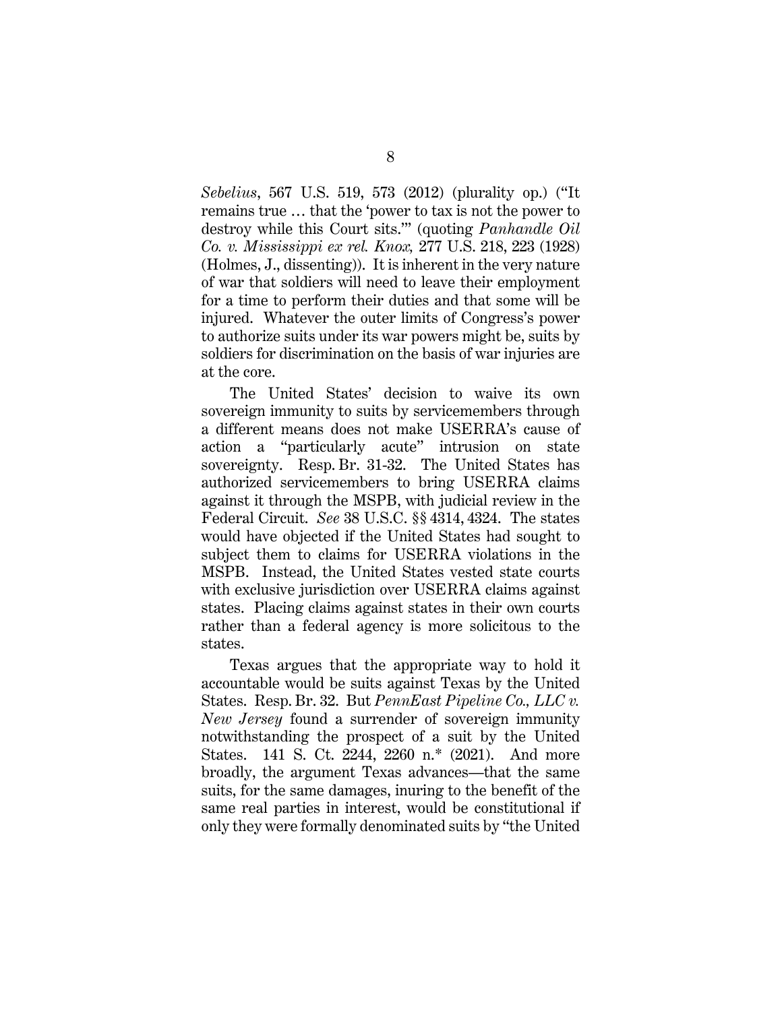*Sebelius*, 567 U.S. 519, 573 (2012) (plurality op.) ("It remains true … that the 'power to tax is not the power to destroy while this Court sits.'" (quoting *Panhandle Oil Co. v. Mississippi ex rel. Knox,* 277 U.S. 218, 223 (1928) (Holmes, J., dissenting)). It is inherent in the very nature of war that soldiers will need to leave their employment for a time to perform their duties and that some will be injured. Whatever the outer limits of Congress's power to authorize suits under its war powers might be, suits by soldiers for discrimination on the basis of war injuries are at the core.

The United States' decision to waive its own sovereign immunity to suits by servicemembers through a different means does not make USERRA's cause of action a "particularly acute" intrusion on state sovereignty. Resp. Br. 31-32. The United States has authorized servicemembers to bring USERRA claims against it through the MSPB, with judicial review in the Federal Circuit. *See* 38 U.S.C. §§ 4314, 4324. The states would have objected if the United States had sought to subject them to claims for USERRA violations in the MSPB. Instead, the United States vested state courts with exclusive jurisdiction over USERRA claims against states. Placing claims against states in their own courts rather than a federal agency is more solicitous to the states.

Texas argues that the appropriate way to hold it accountable would be suits against Texas by the United States. Resp. Br. 32. But *PennEast Pipeline Co., LLC v. New Jersey* found a surrender of sovereign immunity notwithstanding the prospect of a suit by the United States. 141 S. Ct. 2244, 2260 n.\* (2021). And more broadly, the argument Texas advances—that the same suits, for the same damages, inuring to the benefit of the same real parties in interest, would be constitutional if only they were formally denominated suits by "the United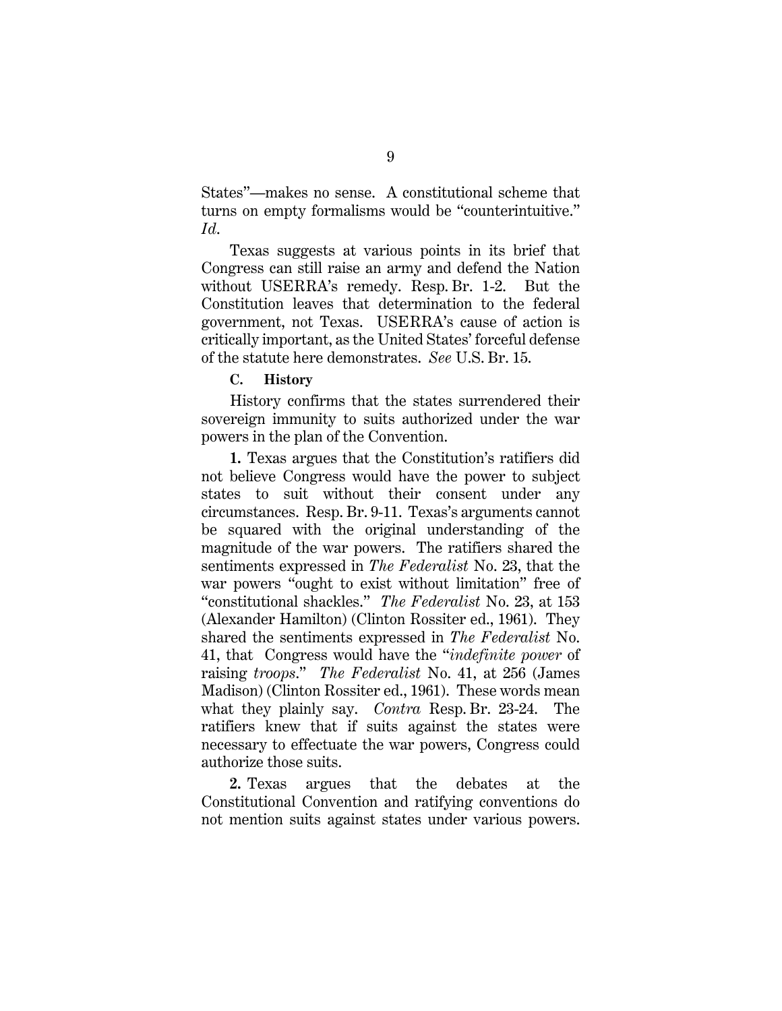States"—makes no sense. A constitutional scheme that turns on empty formalisms would be "counterintuitive." *Id*.

Texas suggests at various points in its brief that Congress can still raise an army and defend the Nation without USERRA's remedy. Resp. Br. 1-2. But the Constitution leaves that determination to the federal government, not Texas. USERRA's cause of action is critically important, as the United States' forceful defense of the statute here demonstrates. *See* U.S. Br. 15.

#### **C. History**

History confirms that the states surrendered their sovereign immunity to suits authorized under the war powers in the plan of the Convention.

**1.** Texas argues that the Constitution's ratifiers did not believe Congress would have the power to subject states to suit without their consent under any circumstances. Resp. Br. 9-11. Texas's arguments cannot be squared with the original understanding of the magnitude of the war powers. The ratifiers shared the sentiments expressed in *The Federalist* No. 23, that the war powers "ought to exist without limitation" free of "constitutional shackles." *The Federalist* No. 23, at 153 (Alexander Hamilton) (Clinton Rossiter ed., 1961). They shared the sentiments expressed in *The Federalist* No. 41, that Congress would have the "*indefinite power* of raising *troops*." *The Federalist* No. 41, at 256 (James Madison) (Clinton Rossiter ed., 1961). These words mean what they plainly say. *Contra* Resp. Br. 23-24. The ratifiers knew that if suits against the states were necessary to effectuate the war powers, Congress could authorize those suits.

**2.** Texas argues that the debates at the Constitutional Convention and ratifying conventions do not mention suits against states under various powers.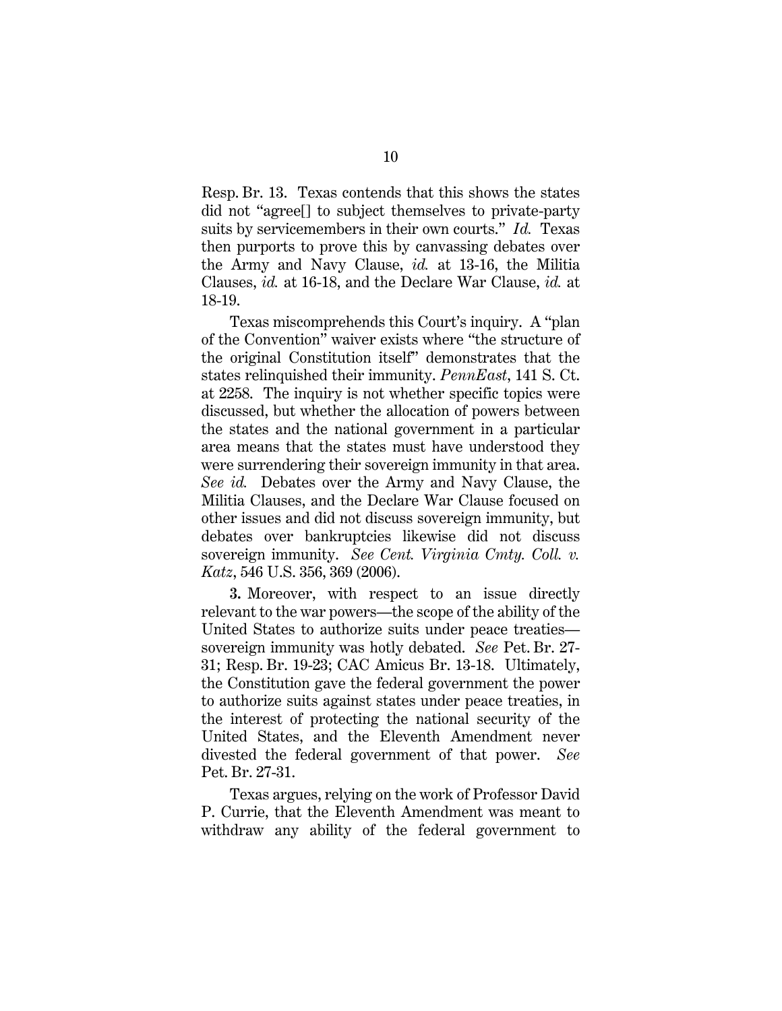Resp. Br. 13. Texas contends that this shows the states did not "agree[] to subject themselves to private-party suits by servicemembers in their own courts." *Id.* Texas then purports to prove this by canvassing debates over the Army and Navy Clause, *id.* at 13-16, the Militia Clauses, *id.* at 16-18, and the Declare War Clause, *id.* at 18-19.

Texas miscomprehends this Court's inquiry. A "plan of the Convention" waiver exists where "the structure of the original Constitution itself" demonstrates that the states relinquished their immunity. *PennEast*, 141 S. Ct. at 2258. The inquiry is not whether specific topics were discussed, but whether the allocation of powers between the states and the national government in a particular area means that the states must have understood they were surrendering their sovereign immunity in that area. *See id.* Debates over the Army and Navy Clause, the Militia Clauses, and the Declare War Clause focused on other issues and did not discuss sovereign immunity, but debates over bankruptcies likewise did not discuss sovereign immunity. *See Cent. Virginia Cmty. Coll. v. Katz*, 546 U.S. 356, 369 (2006).

**3.** Moreover, with respect to an issue directly relevant to the war powers—the scope of the ability of the United States to authorize suits under peace treaties sovereign immunity was hotly debated. *See* Pet. Br. 27- 31; Resp. Br. 19-23; CAC Amicus Br. 13-18. Ultimately, the Constitution gave the federal government the power to authorize suits against states under peace treaties, in the interest of protecting the national security of the United States, and the Eleventh Amendment never divested the federal government of that power. *See* Pet. Br. 27-31.

Texas argues, relying on the work of Professor David P. Currie, that the Eleventh Amendment was meant to withdraw any ability of the federal government to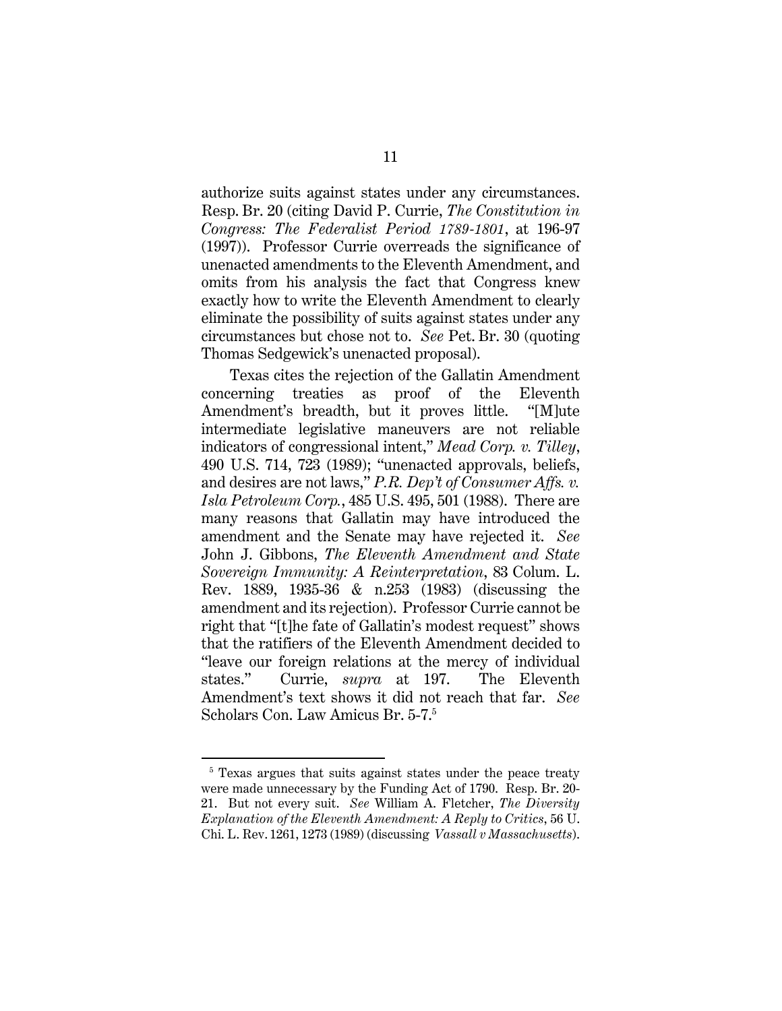authorize suits against states under any circumstances. Resp. Br. 20 (citing David P. Currie, *The Constitution in Congress: The Federalist Period 1789-1801*, at 196-97 (1997)). Professor Currie overreads the significance of unenacted amendments to the Eleventh Amendment, and omits from his analysis the fact that Congress knew exactly how to write the Eleventh Amendment to clearly eliminate the possibility of suits against states under any circumstances but chose not to. *See* Pet. Br. 30 (quoting Thomas Sedgewick's unenacted proposal).

Texas cites the rejection of the Gallatin Amendment concerning treaties as proof of the Eleventh Amendment's breadth, but it proves little. "[M]ute intermediate legislative maneuvers are not reliable indicators of congressional intent," *Mead Corp. v. Tilley*, 490 U.S. 714, 723 (1989); "unenacted approvals, beliefs, and desires are not laws," *P.R. Dep't of Consumer Affs. v. Isla Petroleum Corp.*, 485 U.S. 495, 501 (1988). There are many reasons that Gallatin may have introduced the amendment and the Senate may have rejected it. *See*  John J. Gibbons, *The Eleventh Amendment and State Sovereign Immunity: A Reinterpretation*, 83 Colum. L. Rev. 1889, 1935-36 & n.253 (1983) (discussing the amendment and its rejection). Professor Currie cannot be right that "[t]he fate of Gallatin's modest request" shows that the ratifiers of the Eleventh Amendment decided to "leave our foreign relations at the mercy of individual states." Currie, *supra* at 197. The Eleventh Amendment's text shows it did not reach that far. *See* Scholars Con. Law Amicus Br. 5-7.5

<sup>&</sup>lt;sup>5</sup> Texas argues that suits against states under the peace treaty were made unnecessary by the Funding Act of 1790. Resp. Br. 20- 21. But not every suit. *See* William A. Fletcher, *The Diversity Explanation of the Eleventh Amendment: A Reply to Critics*, 56 U. Chi. L. Rev. 1261, 1273 (1989) (discussing *Vassall v Massachusetts*).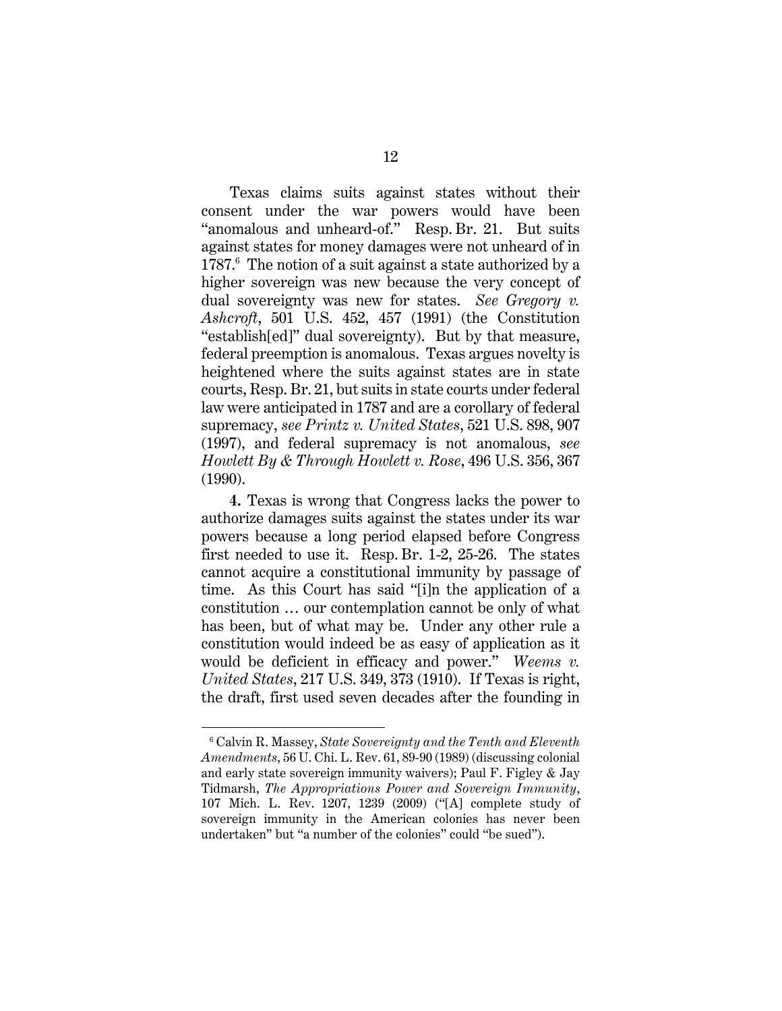Texas claims suits against states without their consent under the war powers would have been "anomalous and unheard-of." Resp. Br. 21. But suits against states for money damages were not unheard of in 1787.<sup>6</sup> The notion of a suit against a state authorized by a higher sovereign was new because the very concept of dual sovereignty was new for states. *See Gregory v. Ashcroft*, 501 U.S. 452, 457 (1991) (the Constitution "establish[ed]" dual sovereignty). But by that measure, federal preemption is anomalous. Texas argues novelty is heightened where the suits against states are in state courts, Resp. Br. 21, but suits in state courts under federal law were anticipated in 1787 and are a corollary of federal supremacy, *see Printz v. United States*, 521 U.S. 898, 907 (1997), and federal supremacy is not anomalous, *see Howlett By & Through Howlett v. Rose*, 496 U.S. 356, 367 (1990).

**4.** Texas is wrong that Congress lacks the power to authorize damages suits against the states under its war powers because a long period elapsed before Congress first needed to use it. Resp. Br. 1-2, 25-26. The states cannot acquire a constitutional immunity by passage of time. As this Court has said "[i]n the application of a constitution … our contemplation cannot be only of what has been, but of what may be. Under any other rule a constitution would indeed be as easy of application as it would be deficient in efficacy and power." *Weems v. United States*, 217 U.S. 349, 373 (1910). If Texas is right, the draft, first used seven decades after the founding in

<sup>6</sup> Calvin R. Massey, *State Sovereignty and the Tenth and Eleventh Amendments*, 56 U. Chi. L. Rev. 61, 89-90 (1989) (discussing colonial and early state sovereign immunity waivers); Paul F. Figley & Jay Tidmarsh, *The Appropriations Power and Sovereign Immunity*, 107 Mich. L. Rev. 1207, 1239 (2009) ("[A] complete study of sovereign immunity in the American colonies has never been undertaken" but "a number of the colonies" could "be sued").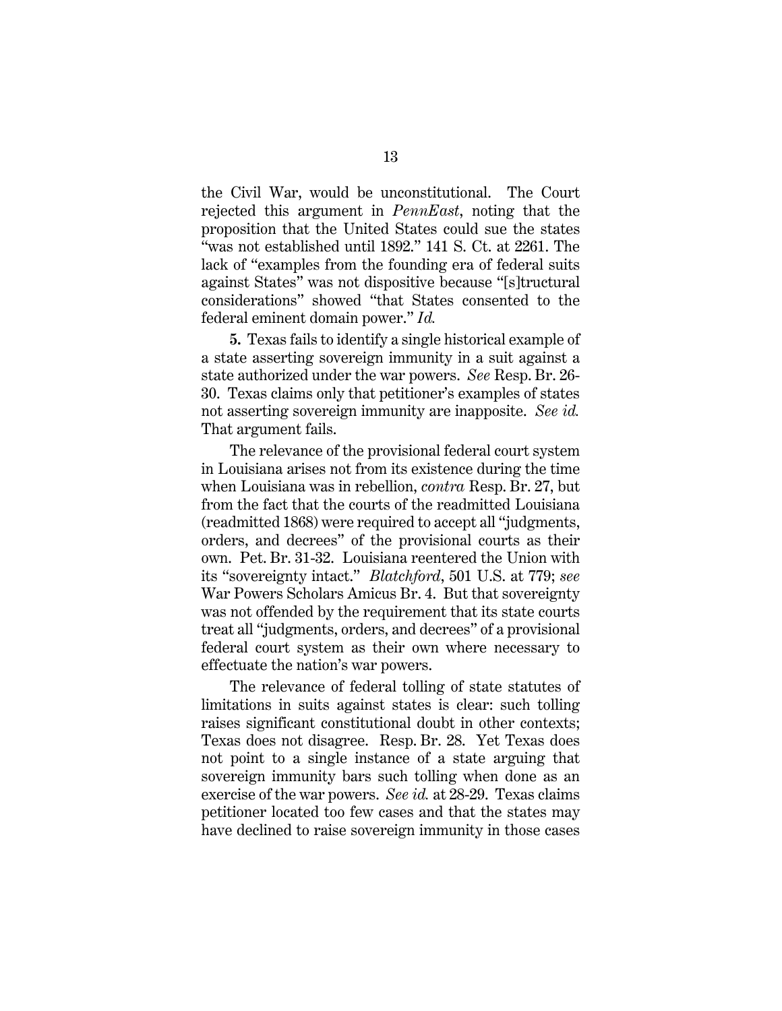the Civil War, would be unconstitutional. The Court rejected this argument in *PennEast*, noting that the proposition that the United States could sue the states "was not established until 1892." 141 S. Ct. at 2261. The lack of "examples from the founding era of federal suits against States" was not dispositive because "[s]tructural considerations" showed "that States consented to the federal eminent domain power." *Id.*

**5.** Texas fails to identify a single historical example of a state asserting sovereign immunity in a suit against a state authorized under the war powers. *See* Resp. Br. 26- 30. Texas claims only that petitioner's examples of states not asserting sovereign immunity are inapposite. *See id.* That argument fails.

The relevance of the provisional federal court system in Louisiana arises not from its existence during the time when Louisiana was in rebellion, *contra* Resp. Br. 27, but from the fact that the courts of the readmitted Louisiana (readmitted 1868) were required to accept all "judgments, orders, and decrees" of the provisional courts as their own. Pet. Br. 31-32. Louisiana reentered the Union with its "sovereignty intact." *Blatchford*, 501 U.S. at 779; *see*  War Powers Scholars Amicus Br. 4. But that sovereignty was not offended by the requirement that its state courts treat all "judgments, orders, and decrees" of a provisional federal court system as their own where necessary to effectuate the nation's war powers.

The relevance of federal tolling of state statutes of limitations in suits against states is clear: such tolling raises significant constitutional doubt in other contexts; Texas does not disagree. Resp. Br. 28. Yet Texas does not point to a single instance of a state arguing that sovereign immunity bars such tolling when done as an exercise of the war powers. *See id.* at 28-29. Texas claims petitioner located too few cases and that the states may have declined to raise sovereign immunity in those cases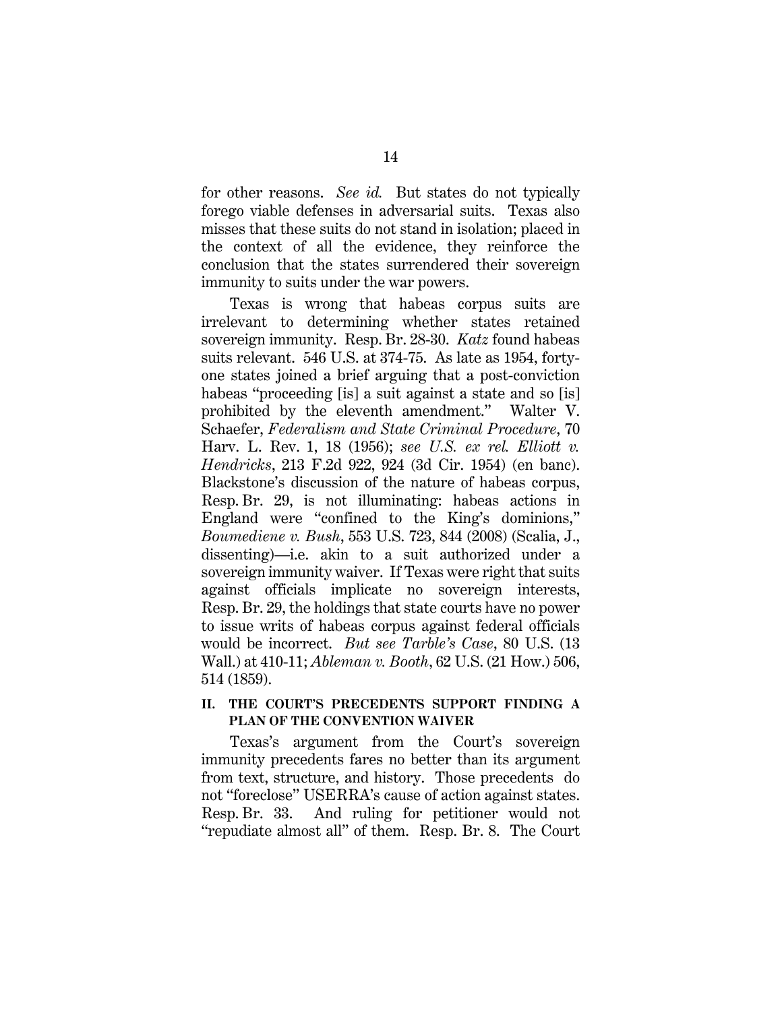for other reasons. *See id.* But states do not typically forego viable defenses in adversarial suits. Texas also misses that these suits do not stand in isolation; placed in the context of all the evidence, they reinforce the conclusion that the states surrendered their sovereign immunity to suits under the war powers.

Texas is wrong that habeas corpus suits are irrelevant to determining whether states retained sovereign immunity. Resp. Br. 28-30. *Katz* found habeas suits relevant. 546 U.S. at 374-75. As late as 1954, fortyone states joined a brief arguing that a post-conviction habeas "proceeding [is] a suit against a state and so [is] prohibited by the eleventh amendment." Walter V. Schaefer, *Federalism and State Criminal Procedure*, 70 Harv. L. Rev. 1, 18 (1956); *see U.S. ex rel. Elliott v. Hendricks*, 213 F.2d 922, 924 (3d Cir. 1954) (en banc). Blackstone's discussion of the nature of habeas corpus, Resp. Br. 29, is not illuminating: habeas actions in England were "confined to the King's dominions," *Boumediene v. Bush*, 553 U.S. 723, 844 (2008) (Scalia, J., dissenting)—i.e. akin to a suit authorized under a sovereign immunity waiver. If Texas were right that suits against officials implicate no sovereign interests, Resp. Br. 29, the holdings that state courts have no power to issue writs of habeas corpus against federal officials would be incorrect. *But see Tarble's Case*, 80 U.S. (13 Wall.) at 410-11; *Ableman v. Booth*, 62 U.S. (21 How.) 506, 514 (1859).

#### **II. THE COURT'S PRECEDENTS SUPPORT FINDING A PLAN OF THE CONVENTION WAIVER**

Texas's argument from the Court's sovereign immunity precedents fares no better than its argument from text, structure, and history. Those precedents do not "foreclose" USERRA's cause of action against states. Resp. Br. 33. And ruling for petitioner would not "repudiate almost all" of them. Resp. Br. 8. The Court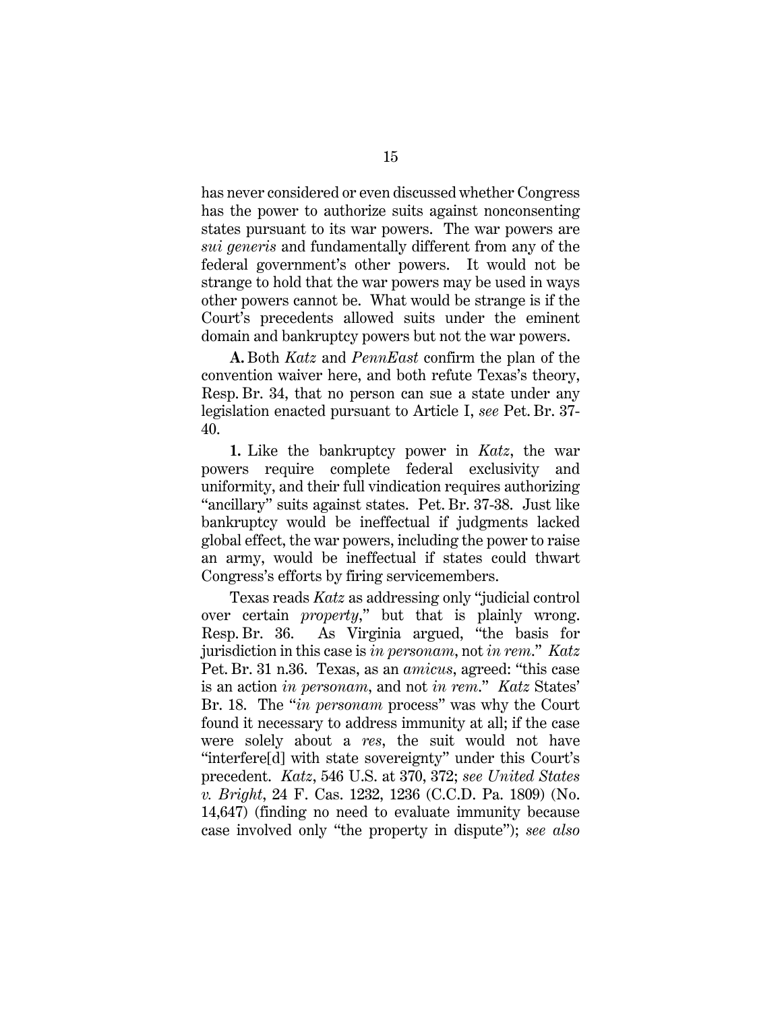has never considered or even discussed whether Congress has the power to authorize suits against nonconsenting states pursuant to its war powers. The war powers are *sui generis* and fundamentally different from any of the federal government's other powers. It would not be strange to hold that the war powers may be used in ways other powers cannot be. What would be strange is if the Court's precedents allowed suits under the eminent domain and bankruptcy powers but not the war powers.

**A.** Both *Katz* and *PennEast* confirm the plan of the convention waiver here, and both refute Texas's theory, Resp. Br. 34, that no person can sue a state under any legislation enacted pursuant to Article I, *see* Pet. Br. 37- 40.

**1.** Like the bankruptcy power in *Katz*, the war powers require complete federal exclusivity and uniformity, and their full vindication requires authorizing "ancillary" suits against states. Pet. Br. 37-38. Just like bankruptcy would be ineffectual if judgments lacked global effect, the war powers, including the power to raise an army, would be ineffectual if states could thwart Congress's efforts by firing servicemembers.

Texas reads *Katz* as addressing only "judicial control over certain *property*," but that is plainly wrong. Resp. Br. 36. As Virginia argued, "the basis for jurisdiction in this case is *in personam*, not *in rem*." *Katz* Pet. Br. 31 n.36. Texas, as an *amicus*, agreed: "this case is an action *in personam*, and not *in rem*." *Katz* States' Br. 18. The "*in personam* process" was why the Court found it necessary to address immunity at all; if the case were solely about a *res*, the suit would not have "interfere[d] with state sovereignty" under this Court's precedent. *Katz*, 546 U.S. at 370, 372; *see United States v. Bright*, 24 F. Cas. 1232, 1236 (C.C.D. Pa. 1809) (No. 14,647) (finding no need to evaluate immunity because case involved only "the property in dispute"); *see also*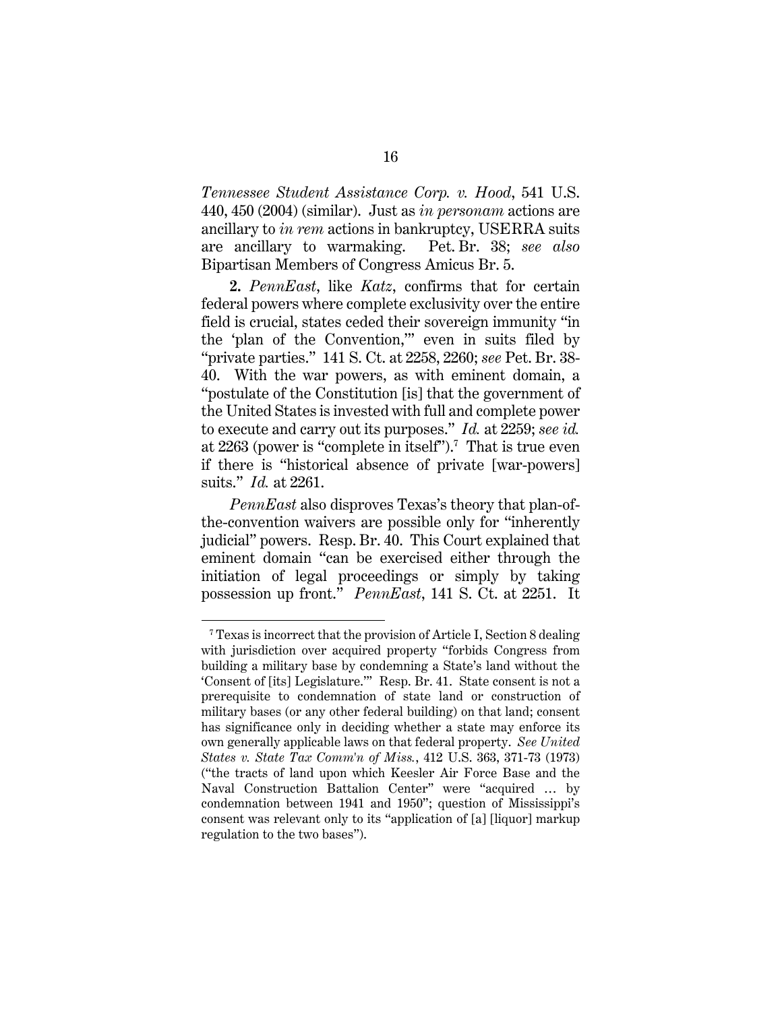*Tennessee Student Assistance Corp. v. Hood*, 541 U.S. 440, 450 (2004) (similar). Just as *in personam* actions are ancillary to *in rem* actions in bankruptcy, USERRA suits are ancillary to warmaking. Pet. Br. 38; *see also* Bipartisan Members of Congress Amicus Br. 5.

**2.** *PennEast*, like *Katz*, confirms that for certain federal powers where complete exclusivity over the entire field is crucial, states ceded their sovereign immunity "in the 'plan of the Convention,'" even in suits filed by "private parties." 141 S. Ct. at 2258, 2260; *see* Pet. Br. 38- 40. With the war powers, as with eminent domain, a "postulate of the Constitution [is] that the government of the United States is invested with full and complete power to execute and carry out its purposes." *Id.* at 2259; *see id.* at 2263 (power is "complete in itself").<sup>7</sup> That is true even if there is "historical absence of private [war-powers] suits." *Id.* at 2261.

*PennEast* also disproves Texas's theory that plan-ofthe-convention waivers are possible only for "inherently judicial" powers. Resp. Br. 40. This Court explained that eminent domain "can be exercised either through the initiation of legal proceedings or simply by taking possession up front." *PennEast*, 141 S. Ct. at 2251. It

<sup>7</sup> Texas is incorrect that the provision of Article I, Section 8 dealing with jurisdiction over acquired property "forbids Congress from building a military base by condemning a State's land without the 'Consent of [its] Legislature.'" Resp. Br. 41. State consent is not a prerequisite to condemnation of state land or construction of military bases (or any other federal building) on that land; consent has significance only in deciding whether a state may enforce its own generally applicable laws on that federal property. *See United States v. State Tax Comm'n of Miss.*, 412 U.S. 363, 371-73 (1973) ("the tracts of land upon which Keesler Air Force Base and the Naval Construction Battalion Center" were "acquired … by condemnation between 1941 and 1950"; question of Mississippi's consent was relevant only to its "application of [a] [liquor] markup regulation to the two bases").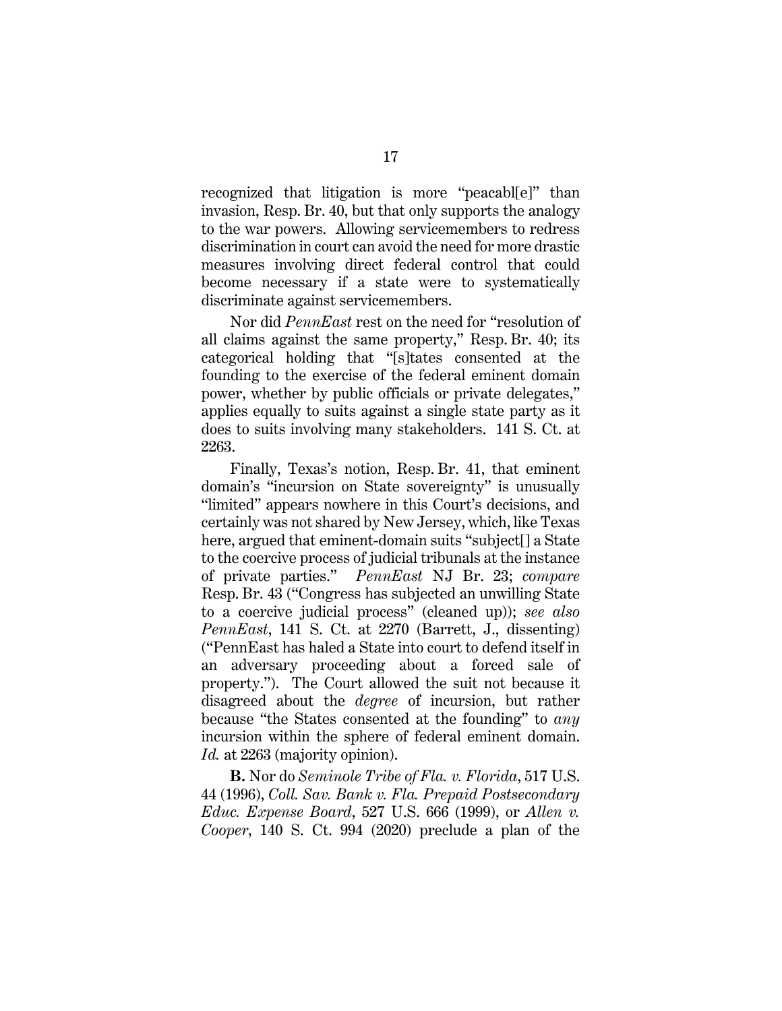recognized that litigation is more "peacabl[e]" than invasion, Resp. Br. 40, but that only supports the analogy to the war powers. Allowing servicemembers to redress discrimination in court can avoid the need for more drastic measures involving direct federal control that could become necessary if a state were to systematically discriminate against servicemembers.

Nor did *PennEast* rest on the need for "resolution of all claims against the same property," Resp. Br. 40; its categorical holding that "[s]tates consented at the founding to the exercise of the federal eminent domain power, whether by public officials or private delegates," applies equally to suits against a single state party as it does to suits involving many stakeholders. 141 S. Ct. at 2263.

Finally, Texas's notion, Resp. Br. 41, that eminent domain's "incursion on State sovereignty" is unusually "limited" appears nowhere in this Court's decisions, and certainly was not shared by New Jersey, which, like Texas here, argued that eminent-domain suits "subject[] a State to the coercive process of judicial tribunals at the instance of private parties." *PennEast* NJ Br. 23; *compare* Resp. Br. 43 ("Congress has subjected an unwilling State to a coercive judicial process" (cleaned up)); *see also PennEast*, 141 S. Ct. at 2270 (Barrett, J., dissenting) ("PennEast has haled a State into court to defend itself in an adversary proceeding about a forced sale of property."). The Court allowed the suit not because it disagreed about the *degree* of incursion, but rather because "the States consented at the founding" to *any* incursion within the sphere of federal eminent domain. *Id.* at 2263 (majority opinion).

**B.** Nor do *Seminole Tribe of Fla. v. Florida*, 517 U.S. 44 (1996), *Coll. Sav. Bank v. Fla. Prepaid Postsecondary Educ. Expense Board*, 527 U.S. 666 (1999), or *Allen v. Cooper*, 140 S. Ct. 994 (2020) preclude a plan of the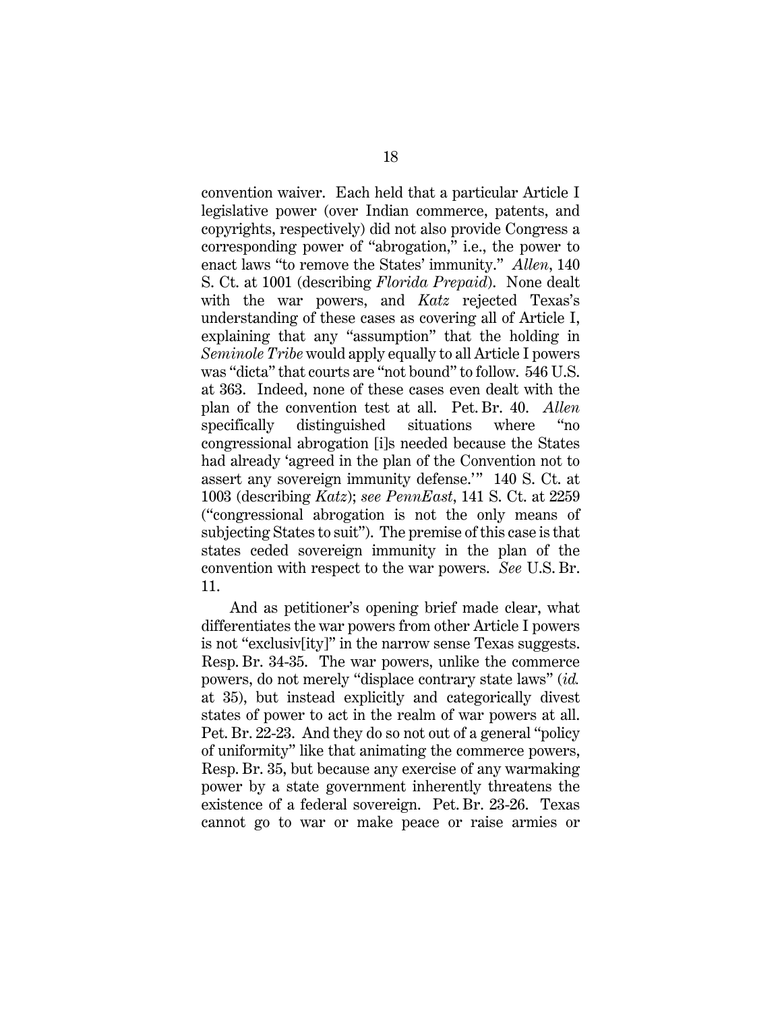convention waiver. Each held that a particular Article I legislative power (over Indian commerce, patents, and copyrights, respectively) did not also provide Congress a corresponding power of "abrogation," i.e., the power to enact laws "to remove the States' immunity." *Allen*, 140 S. Ct. at 1001 (describing *Florida Prepaid*). None dealt with the war powers, and *Katz* rejected Texas's understanding of these cases as covering all of Article I, explaining that any "assumption" that the holding in *Seminole Tribe* would apply equally to all Article I powers was "dicta" that courts are "not bound" to follow. 546 U.S. at 363. Indeed, none of these cases even dealt with the plan of the convention test at all. Pet. Br. 40. *Allen* specifically distinguished situations where "no congressional abrogation [i]s needed because the States had already 'agreed in the plan of the Convention not to assert any sovereign immunity defense.'" 140 S. Ct. at 1003 (describing *Katz*); *see PennEast*, 141 S. Ct. at 2259 ("congressional abrogation is not the only means of subjecting States to suit"). The premise of this case is that states ceded sovereign immunity in the plan of the convention with respect to the war powers. *See* U.S. Br. 11.

And as petitioner's opening brief made clear, what differentiates the war powers from other Article I powers is not "exclusiv[ity]" in the narrow sense Texas suggests. Resp. Br. 34-35. The war powers, unlike the commerce powers, do not merely "displace contrary state laws" (*id.* at 35), but instead explicitly and categorically divest states of power to act in the realm of war powers at all. Pet. Br. 22-23. And they do so not out of a general "policy of uniformity" like that animating the commerce powers, Resp. Br. 35, but because any exercise of any warmaking power by a state government inherently threatens the existence of a federal sovereign. Pet. Br. 23-26. Texas cannot go to war or make peace or raise armies or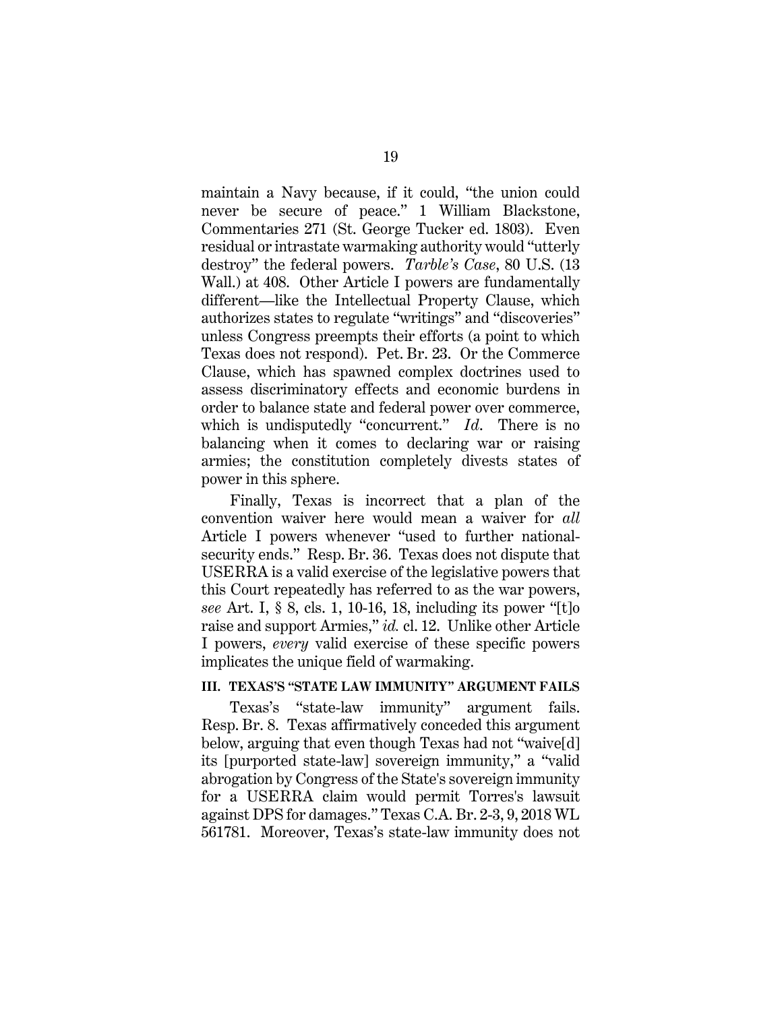maintain a Navy because, if it could, "the union could never be secure of peace." 1 William Blackstone, Commentaries 271 (St. George Tucker ed. 1803). Even residual or intrastate warmaking authority would "utterly destroy" the federal powers. *Tarble's Case*, 80 U.S. (13 Wall.) at 408. Other Article I powers are fundamentally different—like the Intellectual Property Clause, which authorizes states to regulate "writings" and "discoveries" unless Congress preempts their efforts (a point to which Texas does not respond). Pet. Br. 23. Or the Commerce Clause, which has spawned complex doctrines used to assess discriminatory effects and economic burdens in order to balance state and federal power over commerce, which is undisputedly "concurrent." *Id*. There is no balancing when it comes to declaring war or raising armies; the constitution completely divests states of power in this sphere.

Finally, Texas is incorrect that a plan of the convention waiver here would mean a waiver for *all* Article I powers whenever "used to further nationalsecurity ends." Resp. Br. 36. Texas does not dispute that USERRA is a valid exercise of the legislative powers that this Court repeatedly has referred to as the war powers, *see* Art. I, § 8, cls. 1, 10-16, 18, including its power "[t]o raise and support Armies," *id.* cl. 12. Unlike other Article I powers, *every* valid exercise of these specific powers implicates the unique field of warmaking.

#### **III. TEXAS'S "STATE LAW IMMUNITY" ARGUMENT FAILS**

Texas's "state-law immunity" argument fails. Resp. Br. 8. Texas affirmatively conceded this argument below, arguing that even though Texas had not "waive[d] its [purported state-law] sovereign immunity," a "valid abrogation by Congress of the State's sovereign immunity for a USERRA claim would permit Torres's lawsuit against DPS for damages." Texas C.A. Br. 2-3, 9, 2018 WL 561781. Moreover, Texas's state-law immunity does not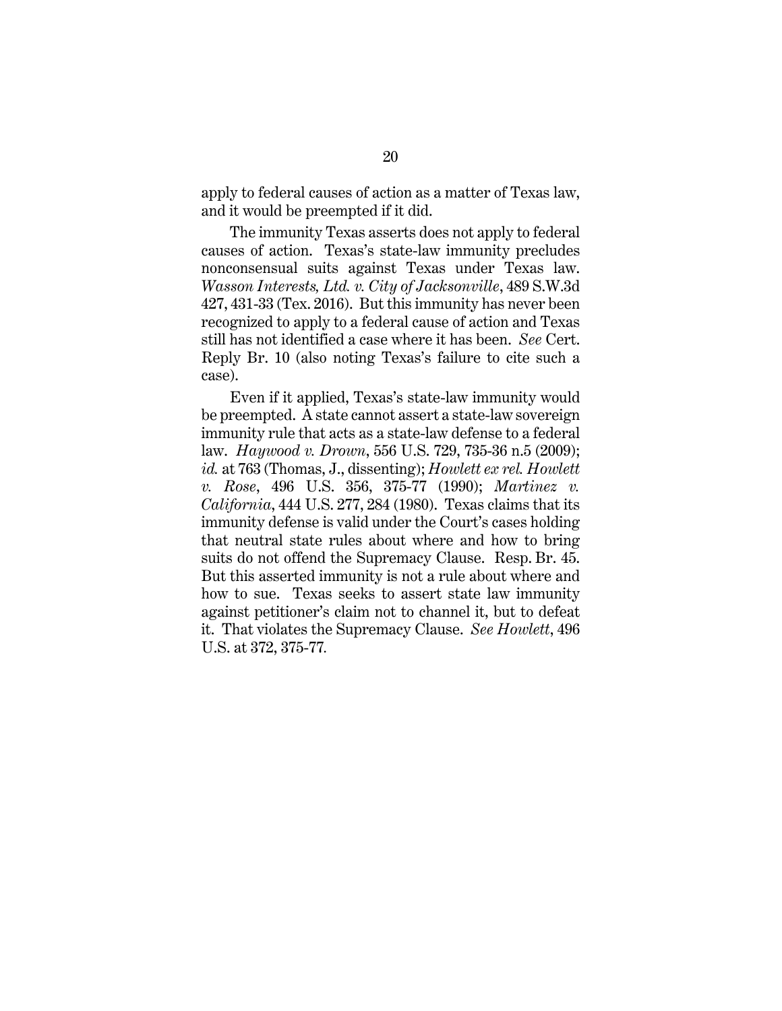apply to federal causes of action as a matter of Texas law, and it would be preempted if it did.

The immunity Texas asserts does not apply to federal causes of action. Texas's state-law immunity precludes nonconsensual suits against Texas under Texas law. *Wasson Interests, Ltd. v. City of Jacksonville*, 489 S.W.3d 427, 431-33 (Tex. 2016). But this immunity has never been recognized to apply to a federal cause of action and Texas still has not identified a case where it has been. *See* Cert. Reply Br. 10 (also noting Texas's failure to cite such a case).

Even if it applied, Texas's state-law immunity would be preempted. A state cannot assert a state-law sovereign immunity rule that acts as a state-law defense to a federal law. *Haywood v. Drown*, 556 U.S. 729, 735-36 n.5 (2009); *id.* at 763 (Thomas, J., dissenting); *Howlett ex rel. Howlett v. Rose*, 496 U.S. 356, 375-77 (1990); *Martinez v. California*, 444 U.S. 277, 284 (1980). Texas claims that its immunity defense is valid under the Court's cases holding that neutral state rules about where and how to bring suits do not offend the Supremacy Clause. Resp. Br. 45. But this asserted immunity is not a rule about where and how to sue. Texas seeks to assert state law immunity against petitioner's claim not to channel it, but to defeat it. That violates the Supremacy Clause. *See Howlett*, 496 U.S. at 372, 375-77*.*